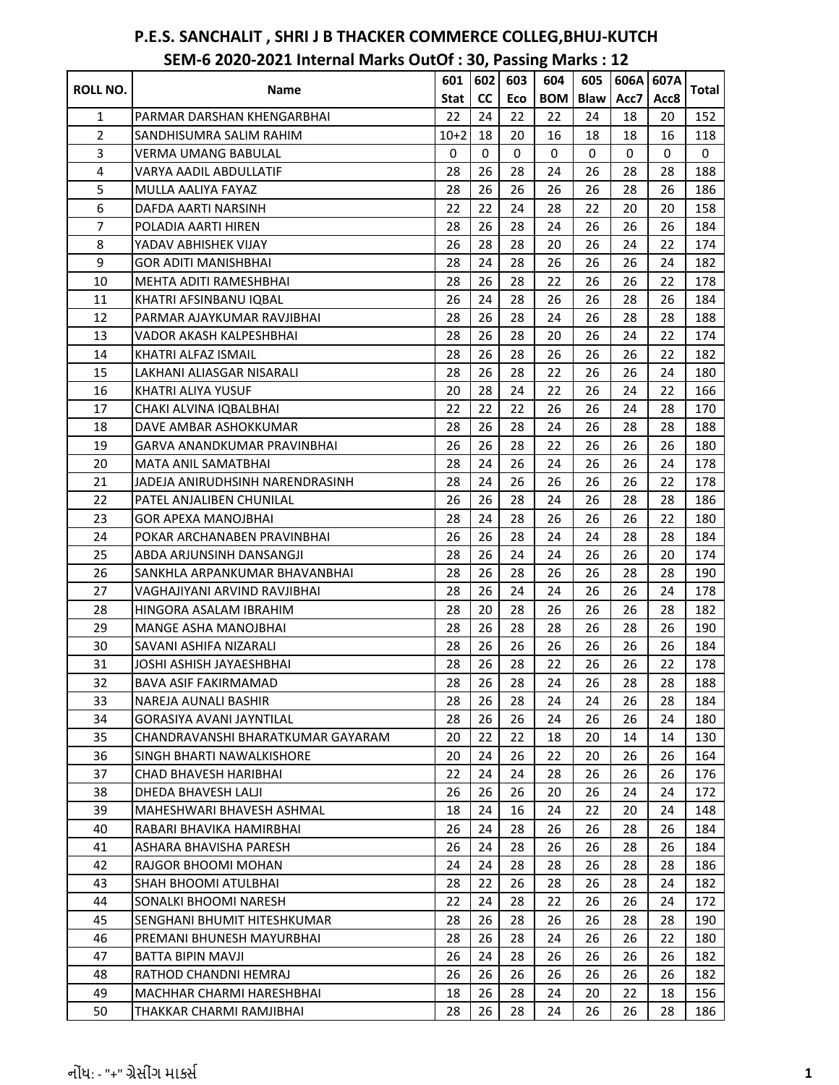|                 |                                   | 601    | 602 | 603 | 604        | 605         | 606A | 607A |       |
|-----------------|-----------------------------------|--------|-----|-----|------------|-------------|------|------|-------|
| <b>ROLL NO.</b> | Name                              | Stat   | cc  | Eco | <b>BOM</b> | <b>Blaw</b> | Acc7 | Acc8 | Total |
| 1               | PARMAR DARSHAN KHENGARBHAI        | 22     | 24  | 22  | 22         | 24          | 18   | 20   | 152   |
| $\overline{2}$  | SANDHISUMRA SALIM RAHIM           | $10+2$ | 18  | 20  | 16         | 18          | 18   | 16   | 118   |
| 3               | <b>VERMA UMANG BABULAL</b>        | 0      | 0   | 0   | 0          | 0           | 0    | 0    | 0     |
| 4               | VARYA AADIL ABDULLATIF            | 28     | 26  | 28  | 24         | 26          | 28   | 28   | 188   |
| 5               | MULLA AALIYA FAYAZ                | 28     | 26  | 26  | 26         | 26          | 28   | 26   | 186   |
| 6               | DAFDA AARTI NARSINH               | 22     | 22  | 24  | 28         | 22          | 20   | 20   | 158   |
| $\overline{7}$  | POLADIA AARTI HIREN               | 28     | 26  | 28  | 24         | 26          | 26   | 26   | 184   |
| 8               | YADAV ABHISHEK VIJAY              | 26     | 28  | 28  | 20         | 26          | 24   | 22   | 174   |
| 9               | <b>GOR ADITI MANISHBHAI</b>       | 28     | 24  | 28  | 26         | 26          | 26   | 24   | 182   |
| 10              | MEHTA ADITI RAMESHBHAI            | 28     | 26  | 28  | 22         | 26          | 26   | 22   | 178   |
| 11              | KHATRI AFSINBANU IQBAL            | 26     | 24  | 28  | 26         | 26          | 28   | 26   | 184   |
| 12              | PARMAR AJAYKUMAR RAVJIBHAI        | 28     | 26  | 28  | 24         | 26          | 28   | 28   | 188   |
| 13              | VADOR AKASH KALPESHBHAI           | 28     | 26  | 28  | 20         | 26          | 24   | 22   | 174   |
| 14              | KHATRI ALFAZ ISMAIL               | 28     | 26  | 28  | 26         | 26          | 26   | 22   | 182   |
| 15              | LAKHANI ALIASGAR NISARALI         | 28     | 26  | 28  | 22         | 26          | 26   | 24   | 180   |
| 16              | KHATRI ALIYA YUSUF                | 20     | 28  | 24  | 22         | 26          | 24   | 22   | 166   |
| 17              | CHAKI ALVINA IQBALBHAI            | 22     | 22  | 22  | 26         | 26          | 24   | 28   | 170   |
| 18              | DAVE AMBAR ASHOKKUMAR             | 28     | 26  | 28  | 24         | 26          | 28   | 28   | 188   |
| 19              | GARVA ANANDKUMAR PRAVINBHAI       | 26     | 26  | 28  | 22         | 26          | 26   | 26   | 180   |
| 20              | <b>MATA ANIL SAMATBHAI</b>        | 28     | 24  | 26  | 24         | 26          | 26   | 24   | 178   |
| 21              | JADEJA ANIRUDHSINH NARENDRASINH   | 28     | 24  | 26  | 26         | 26          | 26   | 22   | 178   |
| 22              | PATEL ANJALIBEN CHUNILAL          | 26     | 26  | 28  | 24         | 26          | 28   | 28   | 186   |
| 23              | <b>GOR APEXA MANOJBHAI</b>        | 28     | 24  | 28  | 26         | 26          | 26   | 22   | 180   |
| 24              | POKAR ARCHANABEN PRAVINBHAI       | 26     | 26  | 28  | 24         | 24          | 28   | 28   | 184   |
| 25              | ABDA ARJUNSINH DANSANGJI          | 28     | 26  | 24  | 24         | 26          | 26   | 20   | 174   |
| 26              | SANKHLA ARPANKUMAR BHAVANBHAI     | 28     | 26  | 28  | 26         | 26          | 28   | 28   | 190   |
| 27              | VAGHAJIYANI ARVIND RAVJIBHAI      | 28     | 26  | 24  | 24         | 26          | 26   | 24   | 178   |
| 28              | HINGORA ASALAM IBRAHIM            | 28     | 20  | 28  | 26         | 26          | 26   | 28   | 182   |
| 29              | <b>MANGE ASHA MANOJBHAI</b>       | 28     | 26  | 28  | 28         | 26          | 28   | 26   | 190   |
| 30              | SAVANI ASHIFA NIZARALI            | 28     | 26  | 26  | 26         | 26          | 26   | 26   | 184   |
| 31              | JOSHI ASHISH JAYAESHBHAI          | 28     | 26  | 28  | 22         | 26          | 26   | 22   | 178   |
| 32              | BAVA ASIF FAKIRMAMAD              | 28     | 26  | 28  | 24         | 26          | 28   | 28   | 188   |
| 33              | NAREJA AUNALI BASHIR              | 28     | 26  | 28  | 24         | 24          | 26   | 28   | 184   |
| 34              | <b>GORASIYA AVANI JAYNTILAL</b>   | 28     | 26  | 26  | 24         | 26          | 26   | 24   | 180   |
| 35              | CHANDRAVANSHI BHARATKUMAR GAYARAM | 20     | 22  | 22  | 18         | 20          | 14   | 14   | 130   |
| 36              | SINGH BHARTI NAWALKISHORE         | 20     | 24  | 26  | 22         | 20          | 26   | 26   | 164   |
| 37              | CHAD BHAVESH HARIBHAI             | 22     | 24  | 24  | 28         | 26          | 26   | 26   | 176   |
| 38              | DHEDA BHAVESH LALJI               | 26     | 26  | 26  | 20         | 26          | 24   | 24   | 172   |
| 39              | MAHESHWARI BHAVESH ASHMAL         | 18     | 24  | 16  | 24         | 22          | 20   | 24   | 148   |
| 40              | RABARI BHAVIKA HAMIRBHAI          | 26     | 24  | 28  | 26         | 26          | 28   | 26   | 184   |
| 41              | ASHARA BHAVISHA PARESH            | 26     | 24  | 28  | 26         | 26          | 28   | 26   | 184   |
| 42              | RAJGOR BHOOMI MOHAN               | 24     | 24  | 28  | 28         | 26          | 28   | 28   | 186   |
| 43              | SHAH BHOOMI ATULBHAI              | 28     | 22  | 26  | 28         | 26          | 28   | 24   | 182   |
| 44              | SONALKI BHOOMI NARESH             | 22     | 24  | 28  | 22         | 26          | 26   | 24   | 172   |
| 45              | SENGHANI BHUMIT HITESHKUMAR       | 28     | 26  | 28  | 26         | 26          | 28   | 28   | 190   |
| 46              | PREMANI BHUNESH MAYURBHAI         | 28     | 26  | 28  | 24         | 26          | 26   | 22   | 180   |
| 47              | BATTA BIPIN MAVJI                 | 26     | 24  | 28  | 26         | 26          | 26   | 26   | 182   |
| 48              | RATHOD CHANDNI HEMRAJ             | 26     | 26  | 26  | 26         | 26          | 26   | 26   | 182   |
| 49              | MACHHAR CHARMI HARESHBHAI         | 18     | 26  | 28  | 24         | 20          | 22   | 18   | 156   |
| 50              | THAKKAR CHARMI RAMJIBHAI          | 28     | 26  | 28  | 24         | 26          | 26   | 28   | 186   |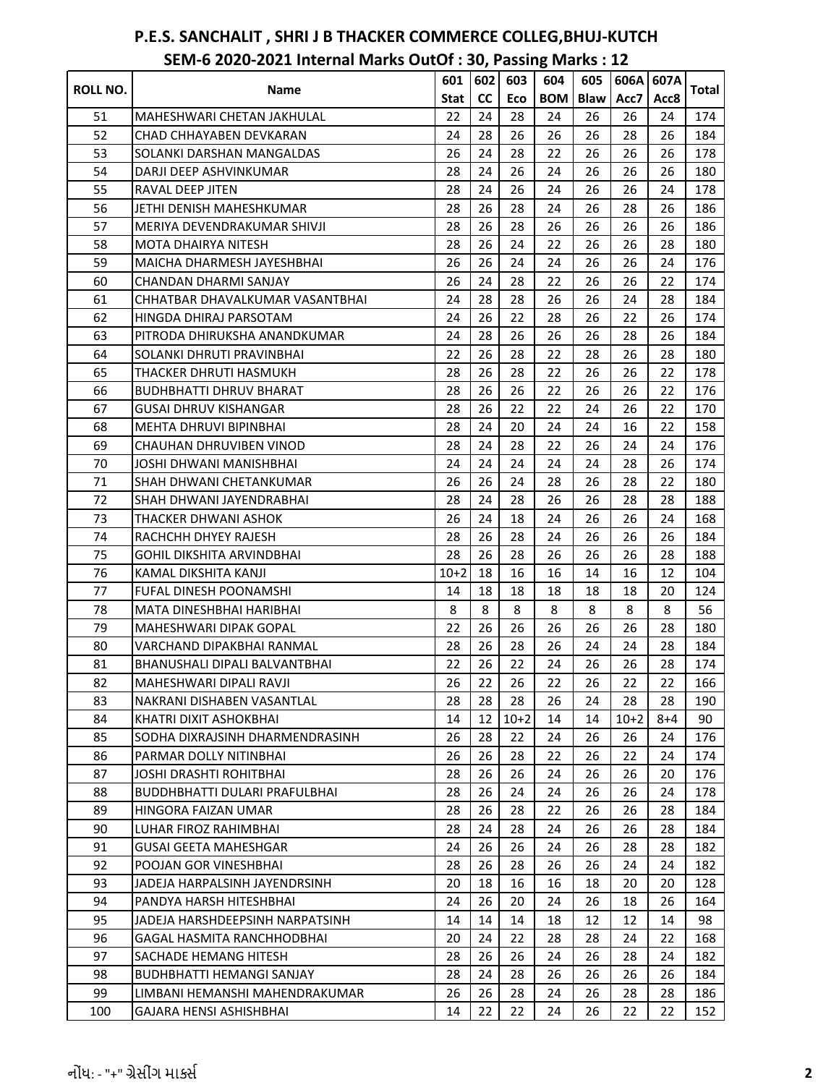| ROLL NO. |                                  | 601         | 602 | 603    | 604        | 605         | 606A   | 607A |       |
|----------|----------------------------------|-------------|-----|--------|------------|-------------|--------|------|-------|
|          | Name                             | <b>Stat</b> | cc  | Eco    | <b>BOM</b> | <b>Blaw</b> | Acc7   | Acc8 | Total |
| 51       | MAHESHWARI CHETAN JAKHULAL       | 22          | 24  | 28     | 24         | 26          | 26     | 24   | 174   |
| 52       | CHAD CHHAYABEN DEVKARAN          | 24          | 28  | 26     | 26         | 26          | 28     | 26   | 184   |
| 53       | SOLANKI DARSHAN MANGALDAS        | 26          | 24  | 28     | 22         | 26          | 26     | 26   | 178   |
| 54       | DARJI DEEP ASHVINKUMAR           | 28          | 24  | 26     | 24         | 26          | 26     | 26   | 180   |
| 55       | <b>RAVAL DEEP JITEN</b>          | 28          | 24  | 26     | 24         | 26          | 26     | 24   | 178   |
| 56       | JETHI DENISH MAHESHKUMAR         | 28          | 26  | 28     | 24         | 26          | 28     | 26   | 186   |
| 57       | MERIYA DEVENDRAKUMAR SHIVJI      | 28          | 26  | 28     | 26         | 26          | 26     | 26   | 186   |
| 58       | <b>MOTA DHAIRYA NITESH</b>       | 28          | 26  | 24     | 22         | 26          | 26     | 28   | 180   |
| 59       | MAICHA DHARMESH JAYESHBHAI       | 26          | 26  | 24     | 24         | 26          | 26     | 24   | 176   |
| 60       | CHANDAN DHARMI SANJAY            | 26          | 24  | 28     | 22         | 26          | 26     | 22   | 174   |
| 61       | CHHATBAR DHAVALKUMAR VASANTBHAI  | 24          | 28  | 28     | 26         | 26          | 24     | 28   | 184   |
| 62       | HINGDA DHIRAJ PARSOTAM           | 24          | 26  | 22     | 28         | 26          | 22     | 26   | 174   |
| 63       | PITRODA DHIRUKSHA ANANDKUMAR     | 24          | 28  | 26     | 26         | 26          | 28     | 26   | 184   |
| 64       | SOLANKI DHRUTI PRAVINBHAI        | 22          | 26  | 28     | 22         | 28          | 26     | 28   | 180   |
| 65       | THACKER DHRUTI HASMUKH           | 28          | 26  | 28     | 22         | 26          | 26     | 22   | 178   |
| 66       | <b>BUDHBHATTI DHRUV BHARAT</b>   | 28          | 26  | 26     | 22         | 26          | 26     | 22   | 176   |
| 67       | <b>GUSAI DHRUV KISHANGAR</b>     | 28          | 26  | 22     | 22         | 24          | 26     | 22   | 170   |
| 68       | MEHTA DHRUVI BIPINBHAI           | 28          | 24  | 20     | 24         | 24          | 16     | 22   | 158   |
| 69       | CHAUHAN DHRUVIBEN VINOD          | 28          | 24  | 28     | 22         | 26          | 24     | 24   | 176   |
| 70       | JOSHI DHWANI MANISHBHAI          | 24          | 24  | 24     | 24         | 24          | 28     | 26   | 174   |
| 71       | SHAH DHWANI CHETANKUMAR          | 26          | 26  | 24     | 28         | 26          | 28     | 22   | 180   |
| 72       | SHAH DHWANI JAYENDRABHAI         | 28          | 24  | 28     | 26         | 26          | 28     | 28   | 188   |
| 73       | THACKER DHWANI ASHOK             | 26          | 24  | 18     | 24         | 26          | 26     | 24   | 168   |
| 74       | RACHCHH DHYEY RAJESH             | 28          | 26  | 28     | 24         | 26          | 26     | 26   | 184   |
| 75       | GOHIL DIKSHITA ARVINDBHAI        | 28          | 26  | 28     | 26         | 26          | 26     | 28   | 188   |
| 76       | KAMAL DIKSHITA KANJI             | $10+2$      | 18  | 16     | 16         | 14          | 16     | 12   | 104   |
| 77       | <b>FUFAL DINESH POONAMSHI</b>    | 14          | 18  | 18     | 18         | 18          | 18     | 20   | 124   |
| 78       | MATA DINESHBHAI HARIBHAI         | 8           | 8   | 8      | 8          | 8           | 8      | 8    | 56    |
| 79       | <b>MAHESHWARI DIPAK GOPAL</b>    | 22          | 26  | 26     | 26         | 26          | 26     | 28   | 180   |
| 80       | VARCHAND DIPAKBHAI RANMAL        | 28          | 26  | 28     | 26         | 24          | 24     | 28   | 184   |
| 81       | BHANUSHALI DIPALI BALVANTBHAI    | 22          | 26  | 22     | 24         | 26          | 26     | 28   | 174   |
| 82       | MAHESHWARI DIPALI RAVJI          | 26          | 22  | 26     | 22         | 26          | 22     | 22   | 166   |
| 83       | NAKRANI DISHABEN VASANTLAL       | 28          | 28  | 28     | 26         | 24          | 28     | 28   | 190   |
| 84       | KHATRI DIXIT ASHOKBHAI           | 14          | 12  | $10+2$ | 14         | 14          | $10+2$ | 8+4  | 90    |
| 85       | SODHA DIXRAJSINH DHARMENDRASINH  | 26          | 28  | 22     | 24         | 26          | 26     | 24   | 176   |
| 86       | PARMAR DOLLY NITINBHAI           | 26          | 26  | 28     | 22         | 26          | 22     | 24   | 174   |
| 87       | <b>JOSHI DRASHTI ROHITBHAI</b>   | 28          | 26  | 26     | 24         | 26          | 26     | 20   | 176   |
| 88       | BUDDHBHATTI DULARI PRAFULBHAI    | 28          | 26  | 24     | 24         | 26          | 26     | 24   | 178   |
| 89       | <b>HINGORA FAIZAN UMAR</b>       | 28          | 26  | 28     | 22         | 26          | 26     | 28   | 184   |
| 90       | LUHAR FIROZ RAHIMBHAI            | 28          | 24  | 28     | 24         | 26          | 26     | 28   | 184   |
| 91       | <b>GUSAI GEETA MAHESHGAR</b>     | 24          | 26  | 26     | 24         | 26          | 28     | 28   | 182   |
| 92       | POOJAN GOR VINESHBHAI            | 28          | 26  | 28     | 26         | 26          | 24     | 24   | 182   |
| 93       | JADEJA HARPALSINH JAYENDRSINH    | 20          | 18  | 16     | 16         | 18          | 20     | 20   | 128   |
| 94       | PANDYA HARSH HITESHBHAI          | 24          | 26  | 20     | 24         | 26          | 18     | 26   | 164   |
| 95       | JADEJA HARSHDEEPSINH NARPATSINH  | 14          | 14  | 14     | 18         | 12          | 12     | 14   | 98    |
| 96       | GAGAL HASMITA RANCHHODBHAI       | 20          | 24  | 22     | 28         | 28          | 24     | 22   | 168   |
| 97       | SACHADE HEMANG HITESH            | 28          | 26  | 26     | 24         | 26          | 28     | 24   | 182   |
| 98       | <b>BUDHBHATTI HEMANGI SANJAY</b> | 28          | 24  | 28     | 26         | 26          | 26     | 26   | 184   |
| 99       | LIMBANI HEMANSHI MAHENDRAKUMAR   | 26          | 26  | 28     | 24         | 26          | 28     | 28   | 186   |
| 100      | GAJARA HENSI ASHISHBHAI          | 14          | 22  | 22     | 24         | 26          | 22     | 22   | 152   |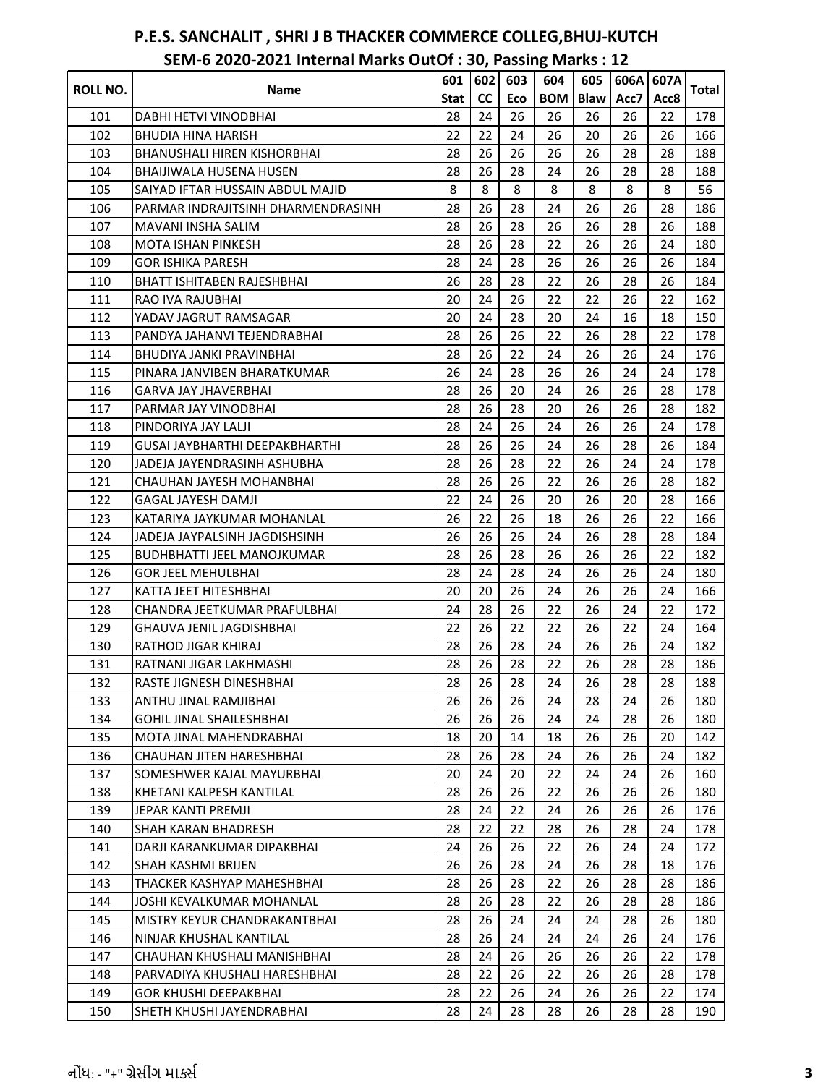|          |                                    | 601  | 602 | 603 | 604        | 605         | 606A | 607A |       |
|----------|------------------------------------|------|-----|-----|------------|-------------|------|------|-------|
| ROLL NO. | Name                               | Stat | cc  | Eco | <b>BOM</b> | <b>Blaw</b> | Acc7 | Acc8 | Total |
| 101      | DABHI HETVI VINODBHAI              | 28   | 24  | 26  | 26         | 26          | 26   | 22   | 178   |
| 102      | BHUDIA HINA HARISH                 | 22   | 22  | 24  | 26         | 20          | 26   | 26   | 166   |
| 103      | <b>BHANUSHALI HIREN KISHORBHAI</b> | 28   | 26  | 26  | 26         | 26          | 28   | 28   | 188   |
| 104      | BHAIJIWALA HUSENA HUSEN            | 28   | 26  | 28  | 24         | 26          | 28   | 28   | 188   |
| 105      | SAIYAD IFTAR HUSSAIN ABDUL MAJID   | 8    | 8   | 8   | 8          | 8           | 8    | 8    | 56    |
| 106      | PARMAR INDRAJITSINH DHARMENDRASINH | 28   | 26  | 28  | 24         | 26          | 26   | 28   | 186   |
| 107      | MAVANI INSHA SALIM                 | 28   | 26  | 28  | 26         | 26          | 28   | 26   | 188   |
| 108      | MOTA ISHAN PINKESH                 | 28   | 26  | 28  | 22         | 26          | 26   | 24   | 180   |
| 109      | <b>GOR ISHIKA PARESH</b>           | 28   | 24  | 28  | 26         | 26          | 26   | 26   | 184   |
| 110      | <b>BHATT ISHITABEN RAJESHBHAI</b>  | 26   | 28  | 28  | 22         | 26          | 28   | 26   | 184   |
| 111      | RAO IVA RAJUBHAI                   | 20   | 24  | 26  | 22         | 22          | 26   | 22   | 162   |
| 112      | YADAV JAGRUT RAMSAGAR              | 20   | 24  | 28  | 20         | 24          | 16   | 18   | 150   |
| 113      | PANDYA JAHANVI TEJENDRABHAI        | 28   | 26  | 26  | 22         | 26          | 28   | 22   | 178   |
| 114      | BHUDIYA JANKI PRAVINBHAI           | 28   | 26  | 22  | 24         | 26          | 26   | 24   | 176   |
| 115      | PINARA JANVIBEN BHARATKUMAR        | 26   | 24  | 28  | 26         | 26          | 24   | 24   | 178   |
| 116      | GARVA JAY JHAVERBHAI               | 28   | 26  | 20  | 24         | 26          | 26   | 28   | 178   |
| 117      | PARMAR JAY VINODBHAI               | 28   | 26  | 28  | 20         | 26          | 26   | 28   | 182   |
| 118      | PINDORIYA JAY LALJI                | 28   | 24  | 26  | 24         | 26          | 26   | 24   | 178   |
| 119      | GUSAI JAYBHARTHI DEEPAKBHARTHI     | 28   | 26  | 26  | 24         | 26          | 28   | 26   | 184   |
| 120      | JADEJA JAYENDRASINH ASHUBHA        | 28   | 26  | 28  | 22         | 26          | 24   | 24   | 178   |
| 121      | CHAUHAN JAYESH MOHANBHAI           | 28   | 26  | 26  | 22         | 26          | 26   | 28   | 182   |
| 122      | <b>GAGAL JAYESH DAMJI</b>          | 22   | 24  | 26  | 20         | 26          | 20   | 28   | 166   |
| 123      | KATARIYA JAYKUMAR MOHANLAL         | 26   | 22  | 26  | 18         | 26          | 26   | 22   | 166   |
| 124      | JADEJA JAYPALSINH JAGDISHSINH      | 26   | 26  | 26  | 24         | 26          | 28   | 28   | 184   |
| 125      | BUDHBHATTI JEEL MANOJKUMAR         | 28   | 26  | 28  | 26         | 26          | 26   | 22   | 182   |
| 126      | <b>GOR JEEL MEHULBHAI</b>          | 28   | 24  | 28  | 24         | 26          | 26   | 24   | 180   |
| 127      | KATTA JEET HITESHBHAI              | 20   | 20  | 26  | 24         | 26          | 26   | 24   | 166   |
| 128      | CHANDRA JEETKUMAR PRAFULBHAI       | 24   | 28  | 26  | 22         | 26          | 24   | 22   | 172   |
| 129      | <b>GHAUVA JENIL JAGDISHBHAI</b>    | 22   | 26  | 22  | 22         | 26          | 22   | 24   | 164   |
| 130      | RATHOD JIGAR KHIRAJ                | 28   | 26  | 28  | 24         | 26          | 26   | 24   | 182   |
| 131      | RATNANI JIGAR LAKHMASHI            | 28   | 26  | 28  | 22         | 26          | 28   | 28   | 186   |
| 132      | RASTE JIGNESH DINESHBHAI           | 28   | 26  | 28  | 24         | 26          | 28   | 28   | 188   |
| 133      | ANTHU JINAL RAMJIBHAI              | 26   | 26  | 26  | 24         | 28          | 24   | 26   | 180   |
| 134      | GOHIL JINAL SHAILESHBHAI           | 26   | 26  | 26  | 24         | 24          | 28   | 26   | 180   |
| 135      | MOTA JINAL MAHENDRABHAI            | 18   | 20  | 14  | 18         | 26          | 26   | 20   | 142   |
| 136      | CHAUHAN JITEN HARESHBHAI           | 28   | 26  | 28  | 24         | 26          | 26   | 24   | 182   |
| 137      | SOMESHWER KAJAL MAYURBHAI          | 20   | 24  | 20  | 22         | 24          | 24   | 26   | 160   |
| 138      | KHETANI KALPESH KANTILAL           | 28   | 26  | 26  | 22         | 26          | 26   | 26   | 180   |
| 139      | JEPAR KANTI PREMJI                 | 28   | 24  | 22  | 24         | 26          | 26   | 26   | 176   |
| 140      | <b>SHAH KARAN BHADRESH</b>         | 28   | 22  | 22  | 28         | 26          | 28   | 24   | 178   |
| 141      | DARJI KARANKUMAR DIPAKBHAI         | 24   | 26  | 26  | 22         | 26          | 24   | 24   | 172   |
| 142      | SHAH KASHMI BRIJEN                 | 26   | 26  | 28  | 24         | 26          | 28   | 18   | 176   |
| 143      | THACKER KASHYAP MAHESHBHAI         | 28   | 26  | 28  | 22         | 26          | 28   | 28   | 186   |
| 144      | JOSHI KEVALKUMAR MOHANLAL          | 28   | 26  | 28  | 22         | 26          | 28   | 28   | 186   |
| 145      | MISTRY KEYUR CHANDRAKANTBHAI       | 28   | 26  | 24  | 24         | 24          | 28   | 26   | 180   |
| 146      | NINJAR KHUSHAL KANTILAL            | 28   | 26  | 24  | 24         | 24          | 26   | 24   | 176   |
| 147      | CHAUHAN KHUSHALI MANISHBHAI        | 28   | 24  | 26  | 26         | 26          | 26   | 22   | 178   |
| 148      | PARVADIYA KHUSHALI HARESHBHAI      | 28   | 22  | 26  | 22         | 26          | 26   | 28   | 178   |
| 149      | <b>GOR KHUSHI DEEPAKBHAI</b>       | 28   | 22  | 26  | 24         | 26          | 26   | 22   | 174   |
| 150      | SHETH KHUSHI JAYENDRABHAI          | 28   | 24  | 28  | 28         | 26          | 28   | 28   | 190   |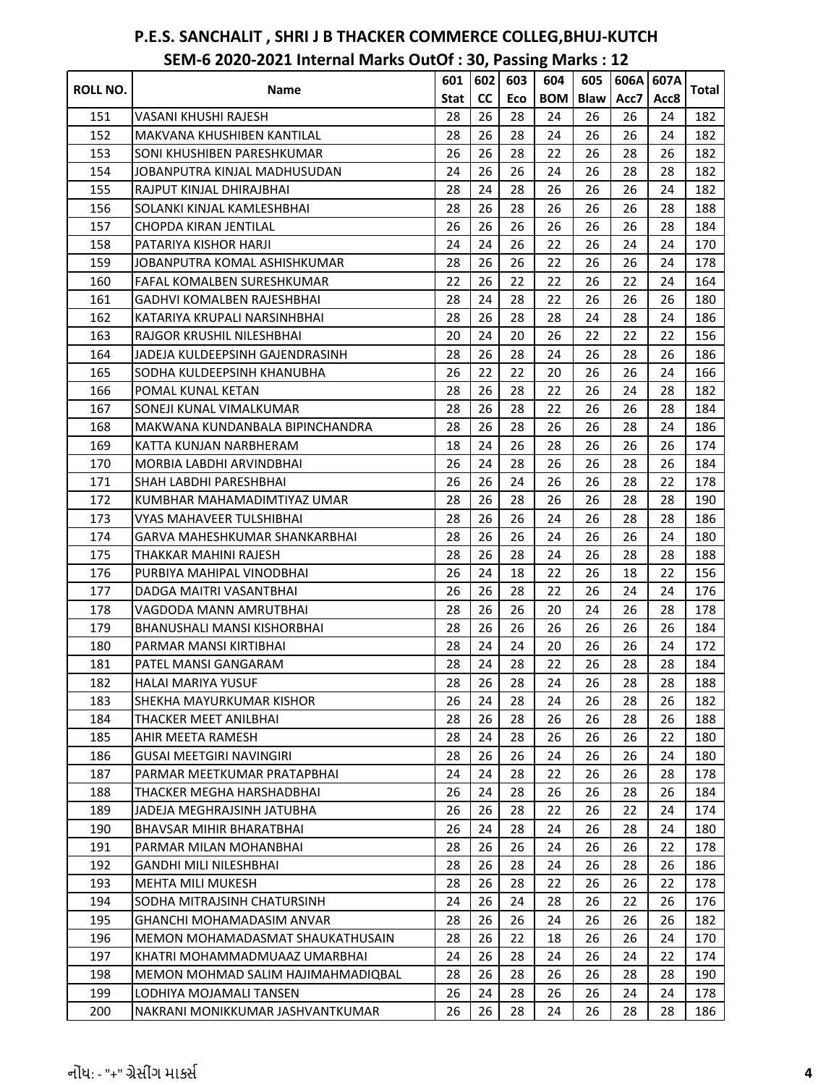| ROLL NO. | <b>Name</b>                        | 601         | 602 | 603 | 604        | 605         | 606A | 607A | Total |
|----------|------------------------------------|-------------|-----|-----|------------|-------------|------|------|-------|
|          |                                    | <b>Stat</b> | cc  | Eco | <b>BOM</b> | <b>Blaw</b> | Acc7 | Acc8 |       |
| 151      | VASANI KHUSHI RAJESH               | 28          | 26  | 28  | 24         | 26          | 26   | 24   | 182   |
| 152      | MAKVANA KHUSHIBEN KANTILAL         | 28          | 26  | 28  | 24         | 26          | 26   | 24   | 182   |
| 153      | SONI KHUSHIBEN PARESHKUMAR         | 26          | 26  | 28  | 22         | 26          | 28   | 26   | 182   |
| 154      | JOBANPUTRA KINJAL MADHUSUDAN       | 24          | 26  | 26  | 24         | 26          | 28   | 28   | 182   |
| 155      | RAJPUT KINJAL DHIRAJBHAI           | 28          | 24  | 28  | 26         | 26          | 26   | 24   | 182   |
| 156      | SOLANKI KINJAL KAMLESHBHAI         | 28          | 26  | 28  | 26         | 26          | 26   | 28   | 188   |
| 157      | CHOPDA KIRAN JENTILAL              | 26          | 26  | 26  | 26         | 26          | 26   | 28   | 184   |
| 158      | PATARIYA KISHOR HARJI              | 24          | 24  | 26  | 22         | 26          | 24   | 24   | 170   |
| 159      | JOBANPUTRA KOMAL ASHISHKUMAR       | 28          | 26  | 26  | 22         | 26          | 26   | 24   | 178   |
| 160      | <b>FAFAL KOMALBEN SURESHKUMAR</b>  | 22          | 26  | 22  | 22         | 26          | 22   | 24   | 164   |
| 161      | <b>GADHVI KOMALBEN RAJESHBHAI</b>  | 28          | 24  | 28  | 22         | 26          | 26   | 26   | 180   |
| 162      | KATARIYA KRUPALI NARSINHBHAI       | 28          | 26  | 28  | 28         | 24          | 28   | 24   | 186   |
| 163      | RAJGOR KRUSHIL NILESHBHAI          | 20          | 24  | 20  | 26         | 22          | 22   | 22   | 156   |
| 164      | JADEJA KULDEEPSINH GAJENDRASINH    | 28          | 26  | 28  | 24         | 26          | 28   | 26   | 186   |
| 165      | SODHA KULDEEPSINH KHANUBHA         | 26          | 22  | 22  | 20         | 26          | 26   | 24   | 166   |
| 166      | POMAL KUNAL KETAN                  | 28          | 26  | 28  | 22         | 26          | 24   | 28   | 182   |
| 167      | SONEJI KUNAL VIMALKUMAR            | 28          | 26  | 28  | 22         | 26          | 26   | 28   | 184   |
| 168      | MAKWANA KUNDANBALA BIPINCHANDRA    | 28          | 26  | 28  | 26         | 26          | 28   | 24   | 186   |
| 169      | KATTA KUNJAN NARBHERAM             | 18          | 24  | 26  | 28         | 26          | 26   | 26   | 174   |
| 170      | MORBIA LABDHI ARVINDBHAI           | 26          | 24  | 28  | 26         | 26          | 28   | 26   | 184   |
| 171      | SHAH LABDHI PARESHBHAI             | 26          | 26  | 24  | 26         | 26          | 28   | 22   | 178   |
| 172      | KUMBHAR MAHAMADIMTIYAZ UMAR        | 28          | 26  | 28  | 26         | 26          | 28   | 28   | 190   |
| 173      | VYAS MAHAVEER TULSHIBHAI           | 28          | 26  | 26  | 24         | 26          | 28   | 28   | 186   |
| 174      | GARVA MAHESHKUMAR SHANKARBHAI      | 28          | 26  | 26  | 24         | 26          | 26   | 24   | 180   |
| 175      | THAKKAR MAHINI RAJESH              | 28          | 26  | 28  | 24         | 26          | 28   | 28   | 188   |
| 176      | PURBIYA MAHIPAL VINODBHAI          | 26          | 24  | 18  | 22         | 26          | 18   | 22   | 156   |
| 177      | DADGA MAITRI VASANTBHAI            | 26          | 26  | 28  | 22         | 26          | 24   | 24   | 176   |
| 178      | VAGDODA MANN AMRUTBHAI             | 28          | 26  | 26  | 20         | 24          | 26   | 28   | 178   |
| 179      | <b>BHANUSHALI MANSI KISHORBHAI</b> | 28          | 26  | 26  | 26         | 26          | 26   | 26   | 184   |
| 180      | PARMAR MANSI KIRTIBHAI             | 28          | 24  | 24  | 20         | 26          | 26   | 24   | 172   |
| 181      | PATEL MANSI GANGARAM               | 28          | 24  | 28  | 22         | 26          | 28   | 28   | 184   |
| 182      | HALAI MARIYA YUSUF                 | 28          | 26  | 28  | 24         | 26          | 28   | 28   | 188   |
| 183      | SHEKHA MAYURKUMAR KISHOR           | 26          | 24  | 28  | 24         | 26          | 28   | 26   | 182   |
| 184      | THACKER MEET ANILBHAI              | 28          | 26  | 28  | 26         | 26          | 28   | 26   | 188   |
| 185      | AHIR MEETA RAMESH                  | 28          | 24  | 28  | 26         | 26          | 26   | 22   | 180   |
| 186      | <b>GUSAI MEETGIRI NAVINGIRI</b>    | 28          | 26  | 26  | 24         | 26          | 26   | 24   | 180   |
| 187      | PARMAR MEETKUMAR PRATAPBHAI        | 24          | 24  | 28  | 22         | 26          | 26   | 28   | 178   |
| 188      | THACKER MEGHA HARSHADBHAI          | 26          | 24  | 28  | 26         | 26          | 28   | 26   | 184   |
| 189      | JADEJA MEGHRAJSINH JATUBHA         | 26          | 26  | 28  | 22         | 26          | 22   | 24   | 174   |
| 190      | BHAVSAR MIHIR BHARATBHAI           | 26          | 24  | 28  | 24         | 26          | 28   | 24   | 180   |
| 191      | PARMAR MILAN MOHANBHAI             | 28          | 26  | 26  | 24         | 26          | 26   | 22   | 178   |
| 192      | <b>GANDHI MILI NILESHBHAI</b>      | 28          | 26  | 28  | 24         | 26          | 28   | 26   | 186   |
| 193      | MEHTA MILI MUKESH                  | 28          | 26  | 28  | 22         | 26          | 26   | 22   | 178   |
| 194      | SODHA MITRAJSINH CHATURSINH        | 24          | 26  | 24  | 28         | 26          | 22   | 26   | 176   |
| 195      | <b>GHANCHI MOHAMADASIM ANVAR</b>   | 28          | 26  | 26  | 24         | 26          | 26   | 26   | 182   |
| 196      | MEMON MOHAMADASMAT SHAUKATHUSAIN   | 28          | 26  | 22  | 18         | 26          | 26   | 24   | 170   |
| 197      | KHATRI MOHAMMADMUAAZ UMARBHAI      | 24          | 26  | 28  | 24         | 26          | 24   | 22   | 174   |
| 198      | MEMON MOHMAD SALIM HAJIMAHMADIQBAL | 28          | 26  | 28  | 26         | 26          | 28   | 28   | 190   |
| 199      | LODHIYA MOJAMALI TANSEN            | 26          | 24  | 28  | 26         | 26          | 24   | 24   | 178   |
| 200      | NAKRANI MONIKKUMAR JASHVANTKUMAR   | 26          | 26  | 28  | 24         | 26          | 28   | 28   | 186   |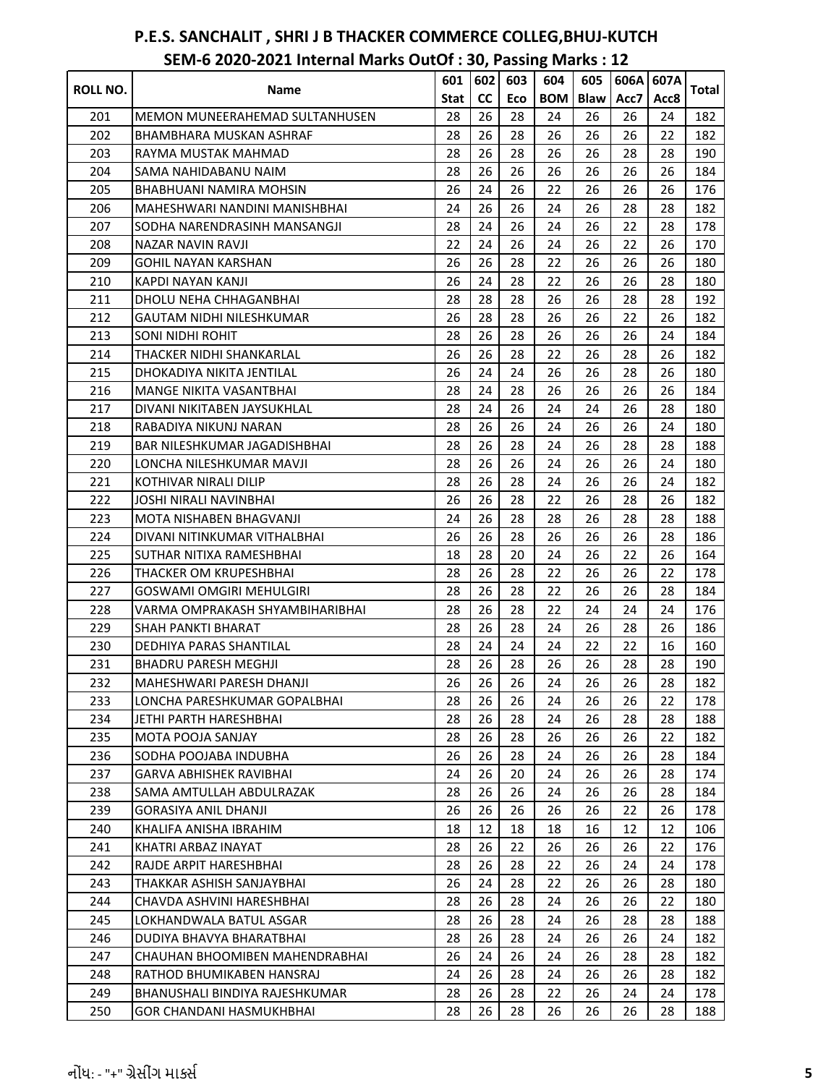|                 |                                       | 601  | 602 | 603 | 604        | 605         | 606A | 607A |       |
|-----------------|---------------------------------------|------|-----|-----|------------|-------------|------|------|-------|
| <b>ROLL NO.</b> | Name                                  | Stat | cc  | Eco | <b>BOM</b> | <b>Blaw</b> | Acc7 | Acc8 | Total |
| 201             | <b>MEMON MUNEERAHEMAD SULTANHUSEN</b> | 28   | 26  | 28  | 24         | 26          | 26   | 24   | 182   |
| 202             | BHAMBHARA MUSKAN ASHRAF               | 28   | 26  | 28  | 26         | 26          | 26   | 22   | 182   |
| 203             | RAYMA MUSTAK MAHMAD                   | 28   | 26  | 28  | 26         | 26          | 28   | 28   | 190   |
| 204             | SAMA NAHIDABANU NAIM                  | 28   | 26  | 26  | 26         | 26          | 26   | 26   | 184   |
| 205             | BHABHUANI NAMIRA MOHSIN               | 26   | 24  | 26  | 22         | 26          | 26   | 26   | 176   |
| 206             | MAHESHWARI NANDINI MANISHBHAI         | 24   | 26  | 26  | 24         | 26          | 28   | 28   | 182   |
| 207             | SODHA NARENDRASINH MANSANGJI          | 28   | 24  | 26  | 24         | 26          | 22   | 28   | 178   |
| 208             | NAZAR NAVIN RAVJI                     | 22   | 24  | 26  | 24         | 26          | 22   | 26   | 170   |
| 209             | GOHIL NAYAN KARSHAN                   | 26   | 26  | 28  | 22         | 26          | 26   | 26   | 180   |
| 210             | KAPDI NAYAN KANJI                     | 26   | 24  | 28  | 22         | 26          | 26   | 28   | 180   |
| 211             | DHOLU NEHA CHHAGANBHAI                | 28   | 28  | 28  | 26         | 26          | 28   | 28   | 192   |
| 212             | <b>GAUTAM NIDHI NILESHKUMAR</b>       | 26   | 28  | 28  | 26         | 26          | 22   | 26   | 182   |
| 213             | <b>SONI NIDHI ROHIT</b>               | 28   | 26  | 28  | 26         | 26          | 26   | 24   | 184   |
| 214             | THACKER NIDHI SHANKARLAL              | 26   | 26  | 28  | 22         | 26          | 28   | 26   | 182   |
| 215             | DHOKADIYA NIKITA JENTILAL             | 26   | 24  | 24  | 26         | 26          | 28   | 26   | 180   |
| 216             | MANGE NIKITA VASANTBHAI               | 28   | 24  | 28  | 26         | 26          | 26   | 26   | 184   |
| 217             | DIVANI NIKITABEN JAYSUKHLAL           | 28   | 24  | 26  | 24         | 24          | 26   | 28   | 180   |
| 218             | RABADIYA NIKUNJ NARAN                 | 28   | 26  | 26  | 24         | 26          | 26   | 24   | 180   |
| 219             | BAR NILESHKUMAR JAGADISHBHAI          | 28   | 26  | 28  | 24         | 26          | 28   | 28   | 188   |
| 220             | LONCHA NILESHKUMAR MAVJI              | 28   | 26  | 26  | 24         | 26          | 26   | 24   | 180   |
| 221             | KOTHIVAR NIRALI DILIP                 | 28   | 26  | 28  | 24         | 26          | 26   | 24   | 182   |
| 222             | JOSHI NIRALI NAVINBHAI                | 26   | 26  | 28  | 22         | 26          | 28   | 26   | 182   |
| 223             | MOTA NISHABEN BHAGVANJI               | 24   | 26  | 28  | 28         | 26          | 28   | 28   | 188   |
| 224             | DIVANI NITINKUMAR VITHALBHAI          | 26   | 26  | 28  | 26         | 26          | 26   | 28   | 186   |
| 225             | SUTHAR NITIXA RAMESHBHAI              | 18   | 28  | 20  | 24         | 26          | 22   | 26   | 164   |
| 226             | THACKER OM KRUPESHBHAI                | 28   | 26  | 28  | 22         | 26          | 26   | 22   | 178   |
| 227             | <b>GOSWAMI OMGIRI MEHULGIRI</b>       | 28   | 26  | 28  | 22         | 26          | 26   | 28   | 184   |
| 228             | VARMA OMPRAKASH SHYAMBIHARIBHAI       | 28   | 26  | 28  | 22         | 24          | 24   | 24   | 176   |
| 229             | <b>SHAH PANKTI BHARAT</b>             | 28   | 26  | 28  | 24         | 26          | 28   | 26   | 186   |
| 230             | DEDHIYA PARAS SHANTILAL               | 28   | 24  | 24  | 24         | 22          | 22   | 16   | 160   |
| 231             | <b>BHADRU PARESH MEGHJI</b>           | 28   | 26  | 28  | 26         | 26          | 28   | 28   | 190   |
| 232             | MAHESHWARI PARESH DHANJI              | 26   | 26  | 26  | 24         | 26          | 26   | 28   | 182   |
| 233             | LONCHA PARESHKUMAR GOPALBHAI          | 28   | 26  | 26  | 24         | 26          | 26   | 22   | 178   |
| 234             | JETHI PARTH HARESHBHAI                | 28   | 26  | 28  | 24         | 26          | 28   | 28   | 188   |
| 235             | MOTA POOJA SANJAY                     | 28   | 26  | 28  | 26         | 26          | 26   | 22   | 182   |
| 236             | SODHA POOJABA INDUBHA                 | 26   | 26  | 28  | 24         | 26          | 26   | 28   | 184   |
| 237             | GARVA ABHISHEK RAVIBHAI               | 24   | 26  | 20  | 24         | 26          | 26   | 28   | 174   |
| 238             | SAMA AMTULLAH ABDULRAZAK              | 28   | 26  | 26  | 24         | 26          | 26   | 28   | 184   |
| 239             | GORASIYA ANIL DHANJI                  | 26   | 26  | 26  | 26         | 26          | 22   | 26   | 178   |
| 240             | KHALIFA ANISHA IBRAHIM                | 18   | 12  | 18  | 18         | 16          | 12   | 12   | 106   |
| 241             | KHATRI ARBAZ INAYAT                   | 28   | 26  | 22  | 26         | 26          | 26   | 22   | 176   |
| 242             | RAJDE ARPIT HARESHBHAI                | 28   | 26  | 28  | 22         | 26          | 24   | 24   | 178   |
| 243             | THAKKAR ASHISH SANJAYBHAI             | 26   | 24  | 28  | 22         | 26          | 26   | 28   | 180   |
| 244             | CHAVDA ASHVINI HARESHBHAI             | 28   | 26  | 28  | 24         | 26          | 26   | 22   | 180   |
| 245             | LOKHANDWALA BATUL ASGAR               | 28   | 26  | 28  | 24         | 26          | 28   | 28   | 188   |
| 246             | DUDIYA BHAVYA BHARATBHAI              | 28   | 26  | 28  | 24         | 26          | 26   | 24   | 182   |
| 247             | CHAUHAN BHOOMIBEN MAHENDRABHAI        | 26   | 24  | 26  | 24         | 26          | 28   | 28   | 182   |
| 248             | RATHOD BHUMIKABEN HANSRAJ             | 24   | 26  | 28  | 24         | 26          | 26   | 28   | 182   |
| 249             | BHANUSHALI BINDIYA RAJESHKUMAR        | 28   | 26  | 28  | 22         | 26          | 24   | 24   | 178   |
| 250             | GOR CHANDANI HASMUKHBHAI              | 28   | 26  | 28  | 26         | 26          | 26   | 28   | 188   |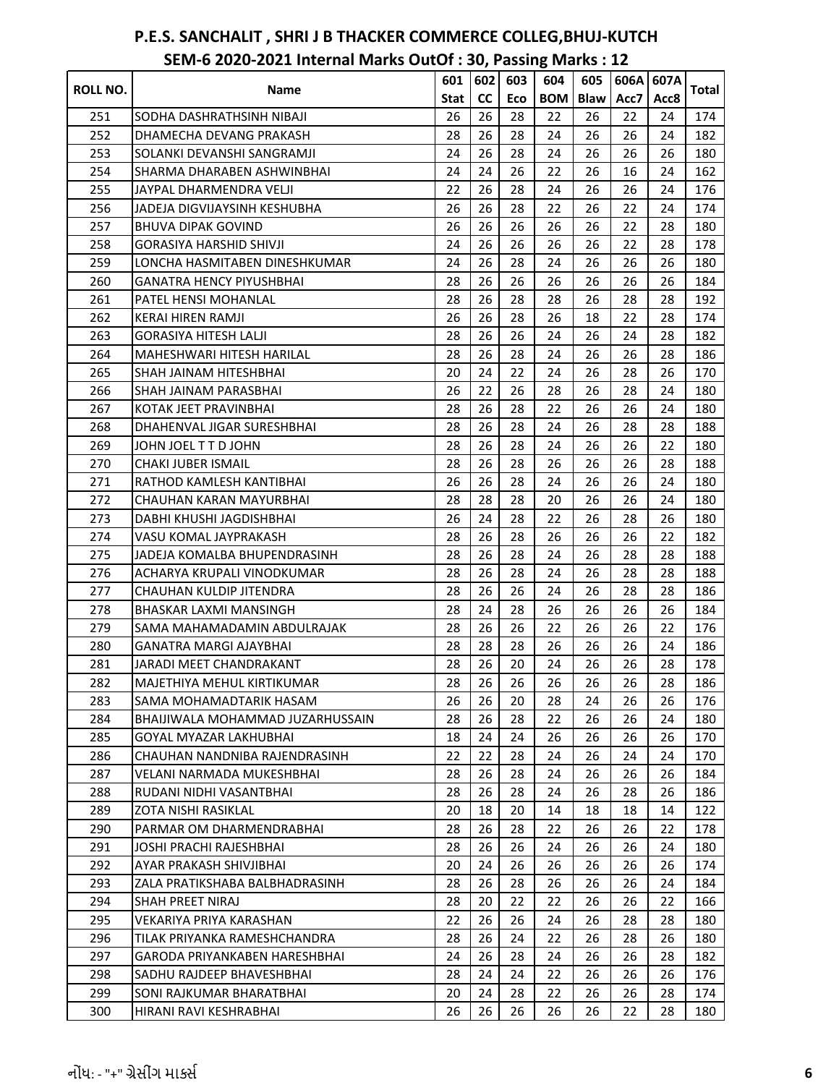| ROLL NO. | Name                                 | 601  | 602       | 603 | 604        | 605         | 606A | 607A | Total |
|----------|--------------------------------------|------|-----------|-----|------------|-------------|------|------|-------|
|          |                                      | Stat | <b>CC</b> | Eco | <b>BOM</b> | <b>Blaw</b> | Acc7 | Acc8 |       |
| 251      | SODHA DASHRATHSINH NIBAJI            | 26   | 26        | 28  | 22         | 26          | 22   | 24   | 174   |
| 252      | DHAMECHA DEVANG PRAKASH              | 28   | 26        | 28  | 24         | 26          | 26   | 24   | 182   |
| 253      | SOLANKI DEVANSHI SANGRAMJI           | 24   | 26        | 28  | 24         | 26          | 26   | 26   | 180   |
| 254      | SHARMA DHARABEN ASHWINBHAI           | 24   | 24        | 26  | 22         | 26          | 16   | 24   | 162   |
| 255      | JAYPAL DHARMENDRA VELJI              | 22   | 26        | 28  | 24         | 26          | 26   | 24   | 176   |
| 256      | JADEJA DIGVIJAYSINH KESHUBHA         | 26   | 26        | 28  | 22         | 26          | 22   | 24   | 174   |
| 257      | <b>BHUVA DIPAK GOVIND</b>            | 26   | 26        | 26  | 26         | 26          | 22   | 28   | 180   |
| 258      | <b>GORASIYA HARSHID SHIVJI</b>       | 24   | 26        | 26  | 26         | 26          | 22   | 28   | 178   |
| 259      | LONCHA HASMITABEN DINESHKUMAR        | 24   | 26        | 28  | 24         | 26          | 26   | 26   | 180   |
| 260      | <b>GANATRA HENCY PIYUSHBHAI</b>      | 28   | 26        | 26  | 26         | 26          | 26   | 26   | 184   |
| 261      | PATEL HENSI MOHANLAL                 | 28   | 26        | 28  | 28         | 26          | 28   | 28   | 192   |
| 262      | <b>KERAI HIREN RAMJI</b>             | 26   | 26        | 28  | 26         | 18          | 22   | 28   | 174   |
| 263      | <b>GORASIYA HITESH LALJI</b>         | 28   | 26        | 26  | 24         | 26          | 24   | 28   | 182   |
| 264      | MAHESHWARI HITESH HARILAL            | 28   | 26        | 28  | 24         | 26          | 26   | 28   | 186   |
| 265      | SHAH JAINAM HITESHBHAI               | 20   | 24        | 22  | 24         | 26          | 28   | 26   | 170   |
| 266      | SHAH JAINAM PARASBHAI                | 26   | 22        | 26  | 28         | 26          | 28   | 24   | 180   |
| 267      | KOTAK JEET PRAVINBHAI                | 28   | 26        | 28  | 22         | 26          | 26   | 24   | 180   |
| 268      | DHAHENVAL JIGAR SURESHBHAI           | 28   | 26        | 28  | 24         | 26          | 28   | 28   | 188   |
| 269      | JOHN JOEL T T D JOHN                 | 28   | 26        | 28  | 24         | 26          | 26   | 22   | 180   |
| 270      | <b>CHAKI JUBER ISMAIL</b>            | 28   | 26        | 28  | 26         | 26          | 26   | 28   | 188   |
| 271      | RATHOD KAMLESH KANTIBHAI             | 26   | 26        | 28  | 24         | 26          | 26   | 24   | 180   |
| 272      | CHAUHAN KARAN MAYURBHAI              | 28   | 28        | 28  | 20         | 26          | 26   | 24   | 180   |
| 273      | DABHI KHUSHI JAGDISHBHAI             | 26   | 24        | 28  | 22         | 26          | 28   | 26   | 180   |
| 274      | VASU KOMAL JAYPRAKASH                | 28   | 26        | 28  | 26         | 26          | 26   | 22   | 182   |
| 275      | JADEJA KOMALBA BHUPENDRASINH         | 28   | 26        | 28  | 24         | 26          | 28   | 28   | 188   |
| 276      | ACHARYA KRUPALI VINODKUMAR           | 28   | 26        | 28  | 24         | 26          | 28   | 28   | 188   |
| 277      | CHAUHAN KULDIP JITENDRA              | 28   | 26        | 26  | 24         | 26          | 28   | 28   | 186   |
| 278      | BHASKAR LAXMI MANSINGH               | 28   | 24        | 28  | 26         | 26          | 26   | 26   | 184   |
| 279      | SAMA MAHAMADAMIN ABDULRAJAK          | 28   | 26        | 26  | 22         | 26          | 26   | 22   | 176   |
| 280      | GANATRA MARGI AJAYBHAI               | 28   | 28        | 28  | 26         | 26          | 26   | 24   | 186   |
| 281      | JARADI MEET CHANDRAKANT              | 28   | 26        | 20  | 24         | 26          | 26   | 28   | 178   |
| 282      | MAJETHIYA MEHUL KIRTIKUMAR           | 28   | 26        | 26  | 26         | 26          | 26   | 28   | 186   |
| 283      | SAMA MOHAMADTARIK HASAM              | 26   | 26        | 20  | 28         | 24          | 26   | 26   | 176   |
| 284      | BHAIJIWALA MOHAMMAD JUZARHUSSAIN     | 28   | 26        | 28  | 22         | 26          | 26   | 24   | 180   |
| 285      | GOYAL MYAZAR LAKHUBHAI               | 18   | 24        | 24  | 26         | 26          | 26   | 26   | 170   |
| 286      | CHAUHAN NANDNIBA RAJENDRASINH        | 22   | 22        | 28  | 24         | 26          | 24   | 24   | 170   |
| 287      | VELANI NARMADA MUKESHBHAI            | 28   | 26        | 28  | 24         | 26          | 26   | 26   | 184   |
| 288      | RUDANI NIDHI VASANTBHAI              | 28   | 26        | 28  | 24         | 26          | 28   | 26   | 186   |
| 289      | ZOTA NISHI RASIKLAL                  | 20   | 18        | 20  | 14         | 18          | 18   | 14   | 122   |
| 290      | PARMAR OM DHARMENDRABHAI             | 28   | 26        | 28  | 22         | 26          | 26   | 22   | 178   |
| 291      | JOSHI PRACHI RAJESHBHAI              | 28   | 26        | 26  | 24         | 26          | 26   | 24   | 180   |
| 292      | AYAR PRAKASH SHIVJIBHAI              | 20   | 24        | 26  | 26         | 26          | 26   | 26   | 174   |
| 293      | ZALA PRATIKSHABA BALBHADRASINH       | 28   | 26        | 28  | 26         | 26          | 26   | 24   | 184   |
| 294      | SHAH PREET NIRAJ                     | 28   | 20        | 22  | 22         | 26          | 26   | 22   | 166   |
| 295      | VEKARIYA PRIYA KARASHAN              | 22   | 26        | 26  | 24         | 26          | 28   | 28   | 180   |
| 296      | TILAK PRIYANKA RAMESHCHANDRA         | 28   | 26        | 24  | 22         | 26          | 28   | 26   | 180   |
| 297      | <b>GARODA PRIYANKABEN HARESHBHAI</b> | 24   | 26        | 28  | 24         | 26          | 26   | 28   | 182   |
| 298      | SADHU RAJDEEP BHAVESHBHAI            | 28   | 24        | 24  | 22         | 26          | 26   | 26   | 176   |
| 299      | SONI RAJKUMAR BHARATBHAI             | 20   | 24        | 28  | 22         | 26          | 26   | 28   | 174   |
| 300      | HIRANI RAVI KESHRABHAI               | 26   | 26        | 26  | 26         | 26          | 22   | 28   | 180   |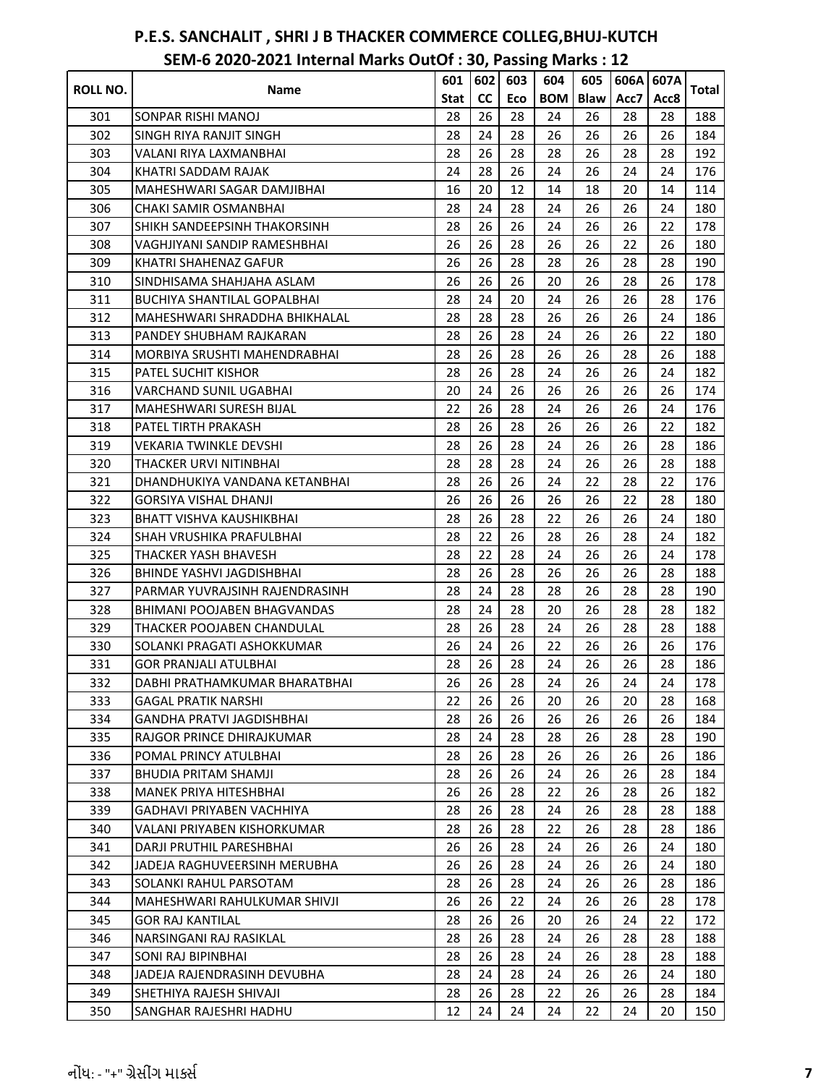|                 |                                    | 601  | 602       | 603 | 604        | 605         | 606A | 607A |       |
|-----------------|------------------------------------|------|-----------|-----|------------|-------------|------|------|-------|
| <b>ROLL NO.</b> | Name                               | Stat | <b>CC</b> | Eco | <b>BOM</b> | <b>Blaw</b> | Acc7 | Acc8 | Total |
| 301             | SONPAR RISHI MANOJ                 | 28   | 26        | 28  | 24         | 26          | 28   | 28   | 188   |
| 302             | <b>SINGH RIYA RANJIT SINGH</b>     | 28   | 24        | 28  | 26         | 26          | 26   | 26   | 184   |
| 303             | VALANI RIYA LAXMANBHAI             | 28   | 26        | 28  | 28         | 26          | 28   | 28   | 192   |
| 304             | KHATRI SADDAM RAJAK                | 24   | 28        | 26  | 24         | 26          | 24   | 24   | 176   |
| 305             | MAHESHWARI SAGAR DAMJIBHAI         | 16   | 20        | 12  | 14         | 18          | 20   | 14   | 114   |
| 306             | CHAKI SAMIR OSMANBHAI              | 28   | 24        | 28  | 24         | 26          | 26   | 24   | 180   |
| 307             | SHIKH SANDEEPSINH THAKORSINH       | 28   | 26        | 26  | 24         | 26          | 26   | 22   | 178   |
| 308             | VAGHJIYANI SANDIP RAMESHBHAI       | 26   | 26        | 28  | 26         | 26          | 22   | 26   | 180   |
| 309             | KHATRI SHAHENAZ GAFUR              | 26   | 26        | 28  | 28         | 26          | 28   | 28   | 190   |
| 310             | SINDHISAMA SHAHJAHA ASLAM          | 26   | 26        | 26  | 20         | 26          | 28   | 26   | 178   |
| 311             | <b>BUCHIYA SHANTILAL GOPALBHAI</b> | 28   | 24        | 20  | 24         | 26          | 26   | 28   | 176   |
| 312             | MAHESHWARI SHRADDHA BHIKHALAL      | 28   | 28        | 28  | 26         | 26          | 26   | 24   | 186   |
| 313             | PANDEY SHUBHAM RAJKARAN            | 28   | 26        | 28  | 24         | 26          | 26   | 22   | 180   |
| 314             | MORBIYA SRUSHTI MAHENDRABHAI       | 28   | 26        | 28  | 26         | 26          | 28   | 26   | 188   |
| 315             | <b>PATEL SUCHIT KISHOR</b>         | 28   | 26        | 28  | 24         | 26          | 26   | 24   | 182   |
| 316             | VARCHAND SUNIL UGABHAI             | 20   | 24        | 26  | 26         | 26          | 26   | 26   | 174   |
| 317             | <b>MAHESHWARI SURESH BIJAL</b>     | 22   | 26        | 28  | 24         | 26          | 26   | 24   | 176   |
| 318             | PATEL TIRTH PRAKASH                | 28   | 26        | 28  | 26         | 26          | 26   | 22   | 182   |
| 319             | VEKARIA TWINKLE DEVSHI             | 28   | 26        | 28  | 24         | 26          | 26   | 28   | 186   |
| 320             | THACKER URVI NITINBHAI             | 28   | 28        | 28  | 24         | 26          | 26   | 28   | 188   |
| 321             | DHANDHUKIYA VANDANA KETANBHAI      | 28   | 26        | 26  | 24         | 22          | 28   | 22   | 176   |
| 322             | <b>GORSIYA VISHAL DHANJI</b>       | 26   | 26        | 26  | 26         | 26          | 22   | 28   | 180   |
| 323             | <b>BHATT VISHVA KAUSHIKBHAI</b>    | 28   | 26        | 28  | 22         | 26          | 26   | 24   | 180   |
| 324             | <b>SHAH VRUSHIKA PRAFULBHAI</b>    | 28   | 22        | 26  | 28         | 26          | 28   | 24   | 182   |
| 325             | THACKER YASH BHAVESH               | 28   | 22        | 28  | 24         | 26          | 26   | 24   | 178   |
| 326             | BHINDE YASHVI JAGDISHBHAI          | 28   | 26        | 28  | 26         | 26          | 26   | 28   | 188   |
| 327             | PARMAR YUVRAJSINH RAJENDRASINH     | 28   | 24        | 28  | 28         | 26          | 28   | 28   | 190   |
| 328             | <b>BHIMANI POOJABEN BHAGVANDAS</b> | 28   | 24        | 28  | 20         | 26          | 28   | 28   | 182   |
| 329             | THACKER POOJABEN CHANDULAL         | 28   | 26        | 28  | 24         | 26          | 28   | 28   | 188   |
| 330             | SOLANKI PRAGATI ASHOKKUMAR         | 26   | 24        | 26  | 22         | 26          | 26   | 26   | 176   |
| 331             | <b>GOR PRANJALI ATULBHAI</b>       | 28   | 26        | 28  | 24         | 26          | 26   | 28   | 186   |
| 332             | DABHI PRATHAMKUMAR BHARATBHAI      | 26   | 26        | 28  | 24         | 26          | 24   | 24   | 178   |
| 333             | GAGAL PRATIK NARSHI                | 22   | 26        | 26  | 20         | 26          | 20   | 28   | 168   |
| 334             | GANDHA PRATVI JAGDISHBHAI          | 28   | 26        | 26  | 26         | 26          | 26   | 26   | 184   |
| 335             | RAJGOR PRINCE DHIRAJKUMAR          | 28   | 24        | 28  | 28         | 26          | 28   | 28   | 190   |
| 336             | POMAL PRINCY ATULBHAI              | 28   | 26        | 28  | 26         | 26          | 26   | 26   | 186   |
| 337             | BHUDIA PRITAM SHAMJI               | 28   | 26        | 26  | 24         | 26          | 26   | 28   | 184   |
| 338             | <b>MANEK PRIYA HITESHBHAI</b>      | 26   | 26        | 28  | 22         | 26          | 28   | 26   | 182   |
| 339             | <b>GADHAVI PRIYABEN VACHHIYA</b>   | 28   | 26        | 28  | 24         | 26          | 28   | 28   | 188   |
| 340             | VALANI PRIYABEN KISHORKUMAR        | 28   | 26        | 28  | 22         | 26          | 28   | 28   | 186   |
| 341             | DARJI PRUTHIL PARESHBHAI           | 26   | 26        | 28  | 24         | 26          | 26   | 24   | 180   |
| 342             | JADEJA RAGHUVEERSINH MERUBHA       | 26   | 26        | 28  | 24         | 26          | 26   | 24   | 180   |
| 343             | SOLANKI RAHUL PARSOTAM             | 28   | 26        | 28  | 24         | 26          | 26   | 28   | 186   |
| 344             | MAHESHWARI RAHULKUMAR SHIVJI       | 26   | 26        | 22  | 24         | 26          | 26   | 28   | 178   |
| 345             | <b>GOR RAJ KANTILAL</b>            | 28   | 26        | 26  | 20         | 26          | 24   | 22   | 172   |
| 346             | NARSINGANI RAJ RASIKLAL            | 28   | 26        | 28  | 24         | 26          | 28   | 28   | 188   |
| 347             | <b>SONI RAJ BIPINBHAI</b>          | 28   | 26        | 28  | 24         | 26          | 28   | 28   | 188   |
| 348             | JADEJA RAJENDRASINH DEVUBHA        | 28   | 24        | 28  | 24         | 26          | 26   | 24   | 180   |
| 349             | SHETHIYA RAJESH SHIVAJI            | 28   | 26        | 28  | 22         | 26          | 26   | 28   | 184   |
| 350             | SANGHAR RAJESHRI HADHU             | 12   | 24        | 24  | 24         | 22          | 24   | 20   | 150   |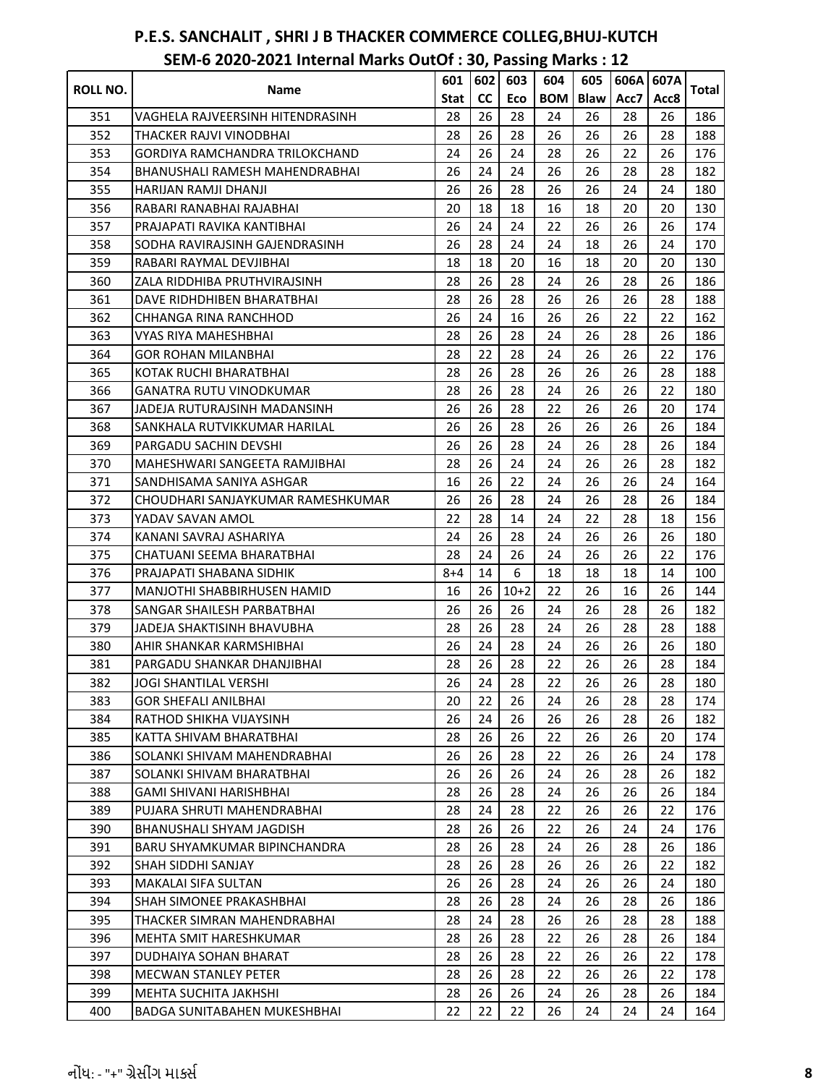|                 |                                       | 601     | 602       | 603    | 604        | 605         | 606A | 607A |       |
|-----------------|---------------------------------------|---------|-----------|--------|------------|-------------|------|------|-------|
| <b>ROLL NO.</b> | Name                                  | Stat    | <b>CC</b> | Eco    | <b>BOM</b> | <b>Blaw</b> | Acc7 | Acc8 | Total |
| 351             | VAGHELA RAJVEERSINH HITENDRASINH      | 28      | 26        | 28     | 24         | 26          | 28   | 26   | 186   |
| 352             | THACKER RAJVI VINODBHAI               | 28      | 26        | 28     | 26         | 26          | 26   | 28   | 188   |
| 353             | GORDIYA RAMCHANDRA TRILOKCHAND        | 24      | 26        | 24     | 28         | 26          | 22   | 26   | 176   |
| 354             | <b>BHANUSHALI RAMESH MAHENDRABHAI</b> | 26      | 24        | 24     | 26         | 26          | 28   | 28   | 182   |
| 355             | HARIJAN RAMJI DHANJI                  | 26      | 26        | 28     | 26         | 26          | 24   | 24   | 180   |
| 356             | RABARI RANABHAI RAJABHAI              | 20      | 18        | 18     | 16         | 18          | 20   | 20   | 130   |
| 357             | PRAJAPATI RAVIKA KANTIBHAI            | 26      | 24        | 24     | 22         | 26          | 26   | 26   | 174   |
| 358             | SODHA RAVIRAJSINH GAJENDRASINH        | 26      | 28        | 24     | 24         | 18          | 26   | 24   | 170   |
| 359             | RABARI RAYMAL DEVJIBHAI               | 18      | 18        | 20     | 16         | 18          | 20   | 20   | 130   |
| 360             | ZALA RIDDHIBA PRUTHVIRAJSINH          | 28      | 26        | 28     | 24         | 26          | 28   | 26   | 186   |
| 361             | DAVE RIDHDHIBEN BHARATBHAI            | 28      | 26        | 28     | 26         | 26          | 26   | 28   | 188   |
| 362             | CHHANGA RINA RANCHHOD                 | 26      | 24        | 16     | 26         | 26          | 22   | 22   | 162   |
| 363             | VYAS RIYA MAHESHBHAI                  | 28      | 26        | 28     | 24         | 26          | 28   | 26   | 186   |
| 364             | GOR ROHAN MILANBHAI                   | 28      | 22        | 28     | 24         | 26          | 26   | 22   | 176   |
| 365             | KOTAK RUCHI BHARATBHAI                | 28      | 26        | 28     | 26         | 26          | 26   | 28   | 188   |
| 366             | GANATRA RUTU VINODKUMAR               | 28      | 26        | 28     | 24         | 26          | 26   | 22   | 180   |
| 367             | JADEJA RUTURAJSINH MADANSINH          | 26      | 26        | 28     | 22         | 26          | 26   | 20   | 174   |
| 368             | SANKHALA RUTVIKKUMAR HARILAL          | 26      | 26        | 28     | 26         | 26          | 26   | 26   | 184   |
| 369             | PARGADU SACHIN DEVSHI                 | 26      | 26        | 28     | 24         | 26          | 28   | 26   | 184   |
| 370             | MAHESHWARI SANGEETA RAMJIBHAI         | 28      | 26        | 24     | 24         | 26          | 26   | 28   | 182   |
| 371             | SANDHISAMA SANIYA ASHGAR              | 16      | 26        | 22     | 24         | 26          | 26   | 24   | 164   |
| 372             | CHOUDHARI SANJAYKUMAR RAMESHKUMAR     | 26      | 26        | 28     | 24         | 26          | 28   | 26   | 184   |
| 373             | YADAV SAVAN AMOL                      | 22      | 28        | 14     | 24         | 22          | 28   | 18   | 156   |
| 374             | KANANI SAVRAJ ASHARIYA                | 24      | 26        | 28     | 24         | 26          | 26   | 26   | 180   |
| 375             | CHATUANI SEEMA BHARATBHAI             | 28      | 24        | 26     | 24         | 26          | 26   | 22   | 176   |
| 376             | PRAJAPATI SHABANA SIDHIK              | $8 + 4$ | 14        | 6      | 18         | 18          | 18   | 14   | 100   |
| 377             | <b>MANJOTHI SHABBIRHUSEN HAMID</b>    | 16      | 26        | $10+2$ | 22         | 26          | 16   | 26   | 144   |
| 378             | SANGAR SHAILESH PARBATBHAI            | 26      | 26        | 26     | 24         | 26          | 28   | 26   | 182   |
| 379             | JADEJA SHAKTISINH BHAVUBHA            | 28      | 26        | 28     | 24         | 26          | 28   | 28   | 188   |
| 380             | AHIR SHANKAR KARMSHIBHAI              | 26      | 24        | 28     | 24         | 26          | 26   | 26   | 180   |
| 381             | PARGADU SHANKAR DHANJIBHAI            | 28      | 26        | 28     | 22         | 26          | 26   | 28   | 184   |
| 382             | JOGI SHANTILAL VERSHI                 | 26      | 24        | 28     | 22         | 26          | 26   | 28   | 180   |
| 383             | GOR SHEFALI ANILBHAI                  | 20      | 22        | 26     | 24         | 26          | 28   | 28   | 174   |
| 384             | RATHOD SHIKHA VIJAYSINH               | 26      | 24        | 26     | 26         | 26          | 28   | 26   | 182   |
| 385             | KATTA SHIVAM BHARATBHAI               | 28      | 26        | 26     | 22         | 26          | 26   | 20   | 174   |
| 386             | SOLANKI SHIVAM MAHENDRABHAI           | 26      | 26        | 28     | 22         | 26          | 26   | 24   | 178   |
| 387             | SOLANKI SHIVAM BHARATBHAI             | 26      | 26        | 26     | 24         | 26          | 28   | 26   | 182   |
| 388             | GAMI SHIVANI HARISHBHAI               | 28      | 26        | 28     | 24         | 26          | 26   | 26   | 184   |
| 389             | PUJARA SHRUTI MAHENDRABHAI            | 28      | 24        | 28     | 22         | 26          | 26   | 22   | 176   |
| 390             | <b>BHANUSHALI SHYAM JAGDISH</b>       | 28      | 26        | 26     | 22         | 26          | 24   | 24   | 176   |
| 391             | <b>BARU SHYAMKUMAR BIPINCHANDRA</b>   | 28      | 26        | 28     | 24         | 26          | 28   | 26   | 186   |
| 392             | SHAH SIDDHI SANJAY                    | 28      | 26        | 28     | 26         | 26          | 26   | 22   | 182   |
| 393             | MAKALAI SIFA SULTAN                   | 26      | 26        | 28     | 24         | 26          | 26   | 24   | 180   |
| 394             | SHAH SIMONEE PRAKASHBHAI              | 28      | 26        | 28     | 24         | 26          | 28   | 26   | 186   |
| 395             | THACKER SIMRAN MAHENDRABHAI           | 28      | 24        | 28     | 26         | 26          | 28   | 28   | 188   |
| 396             | <b>MEHTA SMIT HARESHKUMAR</b>         | 28      | 26        | 28     | 22         | 26          | 28   | 26   | 184   |
| 397             | DUDHAIYA SOHAN BHARAT                 | 28      | 26        | 28     | 22         | 26          | 26   | 22   | 178   |
| 398             | <b>MECWAN STANLEY PETER</b>           | 28      | 26        | 28     | 22         | 26          | 26   | 22   | 178   |
| 399             | <b>MEHTA SUCHITA JAKHSHI</b>          | 28      | 26        | 26     | 24         | 26          | 28   | 26   | 184   |
| 400             | <b>BADGA SUNITABAHEN MUKESHBHAI</b>   | 22      | 22        | 22     | 26         | 24          | 24   | 24   | 164   |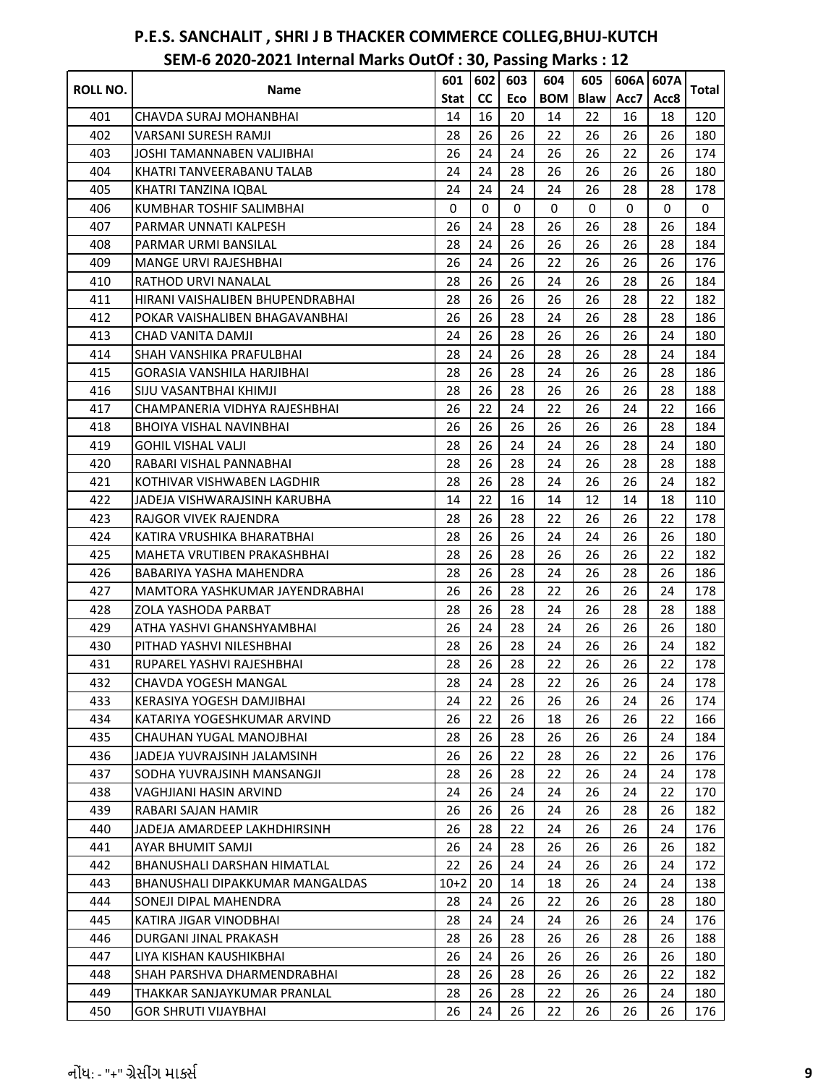|                 |                                  | 601    | 602         | 603         | 604        | 605         | 606A | 607A |       |
|-----------------|----------------------------------|--------|-------------|-------------|------------|-------------|------|------|-------|
| <b>ROLL NO.</b> | Name                             | Stat   | <b>CC</b>   | Eco         | <b>BOM</b> | <b>Blaw</b> | Acc7 | Acc8 | Total |
| 401             | CHAVDA SURAJ MOHANBHAI           | 14     | 16          | 20          | 14         | 22          | 16   | 18   | 120   |
| 402             | VARSANI SURESH RAMJI             | 28     | 26          | 26          | 22         | 26          | 26   | 26   | 180   |
| 403             | JOSHI TAMANNABEN VALJIBHAI       | 26     | 24          | 24          | 26         | 26          | 22   | 26   | 174   |
| 404             | KHATRI TANVEERABANU TALAB        | 24     | 24          | 28          | 26         | 26          | 26   | 26   | 180   |
| 405             | KHATRI TANZINA IQBAL             | 24     | 24          | 24          | 24         | 26          | 28   | 28   | 178   |
| 406             | <b>KUMBHAR TOSHIF SALIMBHAI</b>  | 0      | $\mathbf 0$ | $\mathbf 0$ | 0          | $\Omega$    | 0    | 0    | 0     |
| 407             | PARMAR UNNATI KALPESH            | 26     | 24          | 28          | 26         | 26          | 28   | 26   | 184   |
| 408             | PARMAR URMI BANSILAL             | 28     | 24          | 26          | 26         | 26          | 26   | 28   | 184   |
| 409             | <b>MANGE URVI RAJESHBHAI</b>     | 26     | 24          | 26          | 22         | 26          | 26   | 26   | 176   |
| 410             | <b>RATHOD URVI NANALAL</b>       | 28     | 26          | 26          | 24         | 26          | 28   | 26   | 184   |
| 411             | HIRANI VAISHALIBEN BHUPENDRABHAI | 28     | 26          | 26          | 26         | 26          | 28   | 22   | 182   |
| 412             | POKAR VAISHALIBEN BHAGAVANBHAI   | 26     | 26          | 28          | 24         | 26          | 28   | 28   | 186   |
| 413             | CHAD VANITA DAMJI                | 24     | 26          | 28          | 26         | 26          | 26   | 24   | 180   |
| 414             | SHAH VANSHIKA PRAFULBHAI         | 28     | 24          | 26          | 28         | 26          | 28   | 24   | 184   |
| 415             | GORASIA VANSHILA HARJIBHAI       | 28     | 26          | 28          | 24         | 26          | 26   | 28   | 186   |
| 416             | SIJU VASANTBHAI KHIMJI           | 28     | 26          | 28          | 26         | 26          | 26   | 28   | 188   |
| 417             | CHAMPANERIA VIDHYA RAJESHBHAI    | 26     | 22          | 24          | 22         | 26          | 24   | 22   | 166   |
| 418             | <b>BHOIYA VISHAL NAVINBHAI</b>   | 26     | 26          | 26          | 26         | 26          | 26   | 28   | 184   |
| 419             | <b>GOHIL VISHAL VALJI</b>        | 28     | 26          | 24          | 24         | 26          | 28   | 24   | 180   |
| 420             | RABARI VISHAL PANNABHAI          | 28     | 26          | 28          | 24         | 26          | 28   | 28   | 188   |
| 421             | KOTHIVAR VISHWABEN LAGDHIR       | 28     | 26          | 28          | 24         | 26          | 26   | 24   | 182   |
| 422             | JADEJA VISHWARAJSINH KARUBHA     | 14     | 22          | 16          | 14         | 12          | 14   | 18   | 110   |
| 423             | RAJGOR VIVEK RAJENDRA            | 28     | 26          | 28          | 22         | 26          | 26   | 22   | 178   |
| 424             | KATIRA VRUSHIKA BHARATBHAI       | 28     | 26          | 26          | 24         | 24          | 26   | 26   | 180   |
| 425             | MAHETA VRUTIBEN PRAKASHBHAI      | 28     | 26          | 28          | 26         | 26          | 26   | 22   | 182   |
| 426             | BABARIYA YASHA MAHENDRA          | 28     | 26          | 28          | 24         | 26          | 28   | 26   | 186   |
| 427             | MAMTORA YASHKUMAR JAYENDRABHAI   | 26     | 26          | 28          | 22         | 26          | 26   | 24   | 178   |
| 428             | ZOLA YASHODA PARBAT              | 28     | 26          | 28          | 24         | 26          | 28   | 28   | 188   |
| 429             | ATHA YASHVI GHANSHYAMBHAI        | 26     | 24          | 28          | 24         | 26          | 26   | 26   | 180   |
| 430             | PITHAD YASHVI NILESHBHAI         | 28     | 26          | 28          | 24         | 26          | 26   | 24   | 182   |
| 431             | RUPAREL YASHVI RAJESHBHAI        | 28     | 26          | 28          | 22         | 26          | 26   | 22   | 178   |
| 432             | CHAVDA YOGESH MANGAL             | 28     | 24          | 28          | 22         | 26          | 26   | 24   | 178   |
| 433             | KERASIYA YOGESH DAMJIBHAI        | 24     | 22          | 26          | 26         | 26          | 24   | 26   | 174   |
| 434             | KATARIYA YOGESHKUMAR ARVIND      | 26     | 22          | 26          | 18         | 26          | 26   | 22   | 166   |
| 435             | CHAUHAN YUGAL MANOJBHAI          | 28     | 26          | 28          | 26         | 26          | 26   | 24   | 184   |
| 436             | JADEJA YUVRAJSINH JALAMSINH      | 26     | 26          | 22          | 28         | 26          | 22   | 26   | 176   |
| 437             | SODHA YUVRAJSINH MANSANGJI       | 28     | 26          | 28          | 22         | 26          | 24   | 24   | 178   |
| 438             | VAGHJIANI HASIN ARVIND           | 24     | 26          | 24          | 24         | 26          | 24   | 22   | 170   |
| 439             | RABARI SAJAN HAMIR               | 26     | 26          | 26          | 24         | 26          | 28   | 26   | 182   |
| 440             | JADEJA AMARDEEP LAKHDHIRSINH     | 26     | 28          | 22          | 24         | 26          | 26   | 24   | 176   |
| 441             | AYAR BHUMIT SAMJI                | 26     | 24          | 28          | 26         | 26          | 26   | 26   | 182   |
| 442             | BHANUSHALI DARSHAN HIMATLAL      | 22     | 26          | 24          | 24         | 26          | 26   | 24   | 172   |
| 443             | BHANUSHALI DIPAKKUMAR MANGALDAS  | $10+2$ | 20          | 14          | 18         | 26          | 24   | 24   | 138   |
| 444             | SONEJI DIPAL MAHENDRA            | 28     | 24          | 26          | 22         | 26          | 26   | 28   | 180   |
| 445             | KATIRA JIGAR VINODBHAI           | 28     | 24          | 24          | 24         | 26          | 26   | 24   | 176   |
| 446             | DURGANI JINAL PRAKASH            | 28     | 26          | 28          | 26         | 26          | 28   | 26   | 188   |
| 447             | LIYA KISHAN KAUSHIKBHAI          | 26     | 24          | 26          | 26         | 26          | 26   | 26   | 180   |
| 448             | SHAH PARSHVA DHARMENDRABHAI      | 28     | 26          | 28          | 26         | 26          | 26   | 22   | 182   |
| 449             | THAKKAR SANJAYKUMAR PRANLAL      | 28     | 26          | 28          | 22         | 26          | 26   | 24   | 180   |
| 450             | <b>GOR SHRUTI VIJAYBHAI</b>      | 26     | 24          | 26          | 22         | 26          | 26   | 26   | 176   |